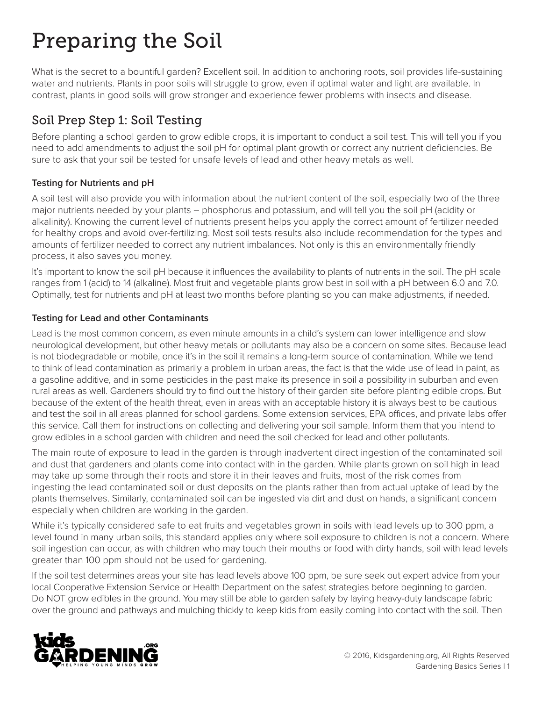# Preparing the Soil

What is the secret to a bountiful garden? Excellent soil. In addition to anchoring roots, soil provides life-sustaining water and nutrients. Plants in poor soils will struggle to grow, even if optimal water and light are available. In contrast, plants in good soils will grow stronger and experience fewer problems with insects and disease.

## Soil Prep Step 1: Soil Testing

Before planting a school garden to grow edible crops, it is important to conduct a soil test. This will tell you if you need to add amendments to adjust the soil pH for optimal plant growth or correct any nutrient deficiencies. Be sure to ask that your soil be tested for unsafe levels of lead and other heavy metals as well.

### **Testing for Nutrients and pH**

A soil test will also provide you with information about the nutrient content of the soil, especially two of the three major nutrients needed by your plants – phosphorus and potassium, and will tell you the soil pH (acidity or alkalinity). Knowing the current level of nutrients present helps you apply the correct amount of fertilizer needed for healthy crops and avoid over-fertilizing. Most soil tests results also include recommendation for the types and amounts of fertilizer needed to correct any nutrient imbalances. Not only is this an environmentally friendly process, it also saves you money.

It's important to know the soil pH because it influences the availability to plants of nutrients in the soil. The pH scale ranges from 1 (acid) to 14 (alkaline). Most fruit and vegetable plants grow best in soil with a pH between 6.0 and 7.0. Optimally, test for nutrients and pH at least two months before planting so you can make adjustments, if needed.

#### **Testing for Lead and other Contaminants**

Lead is the most common concern, as even minute amounts in a child's system can lower intelligence and slow neurological development, but other heavy metals or pollutants may also be a concern on some sites. Because lead is not biodegradable or mobile, once it's in the soil it remains a long-term source of contamination. While we tend to think of lead contamination as primarily a problem in urban areas, the fact is that the wide use of lead in paint, as a gasoline additive, and in some pesticides in the past make its presence in soil a possibility in suburban and even rural areas as well. Gardeners should try to find out the history of their garden site before planting edible crops. But because of the extent of the health threat, even in areas with an acceptable history it is always best to be cautious and test the soil in all areas planned for school gardens. Some extension services, EPA offices, and private labs offer this service. Call them for instructions on collecting and delivering your soil sample. Inform them that you intend to grow edibles in a school garden with children and need the soil checked for lead and other pollutants.

The main route of exposure to lead in the garden is through inadvertent direct ingestion of the contaminated soil and dust that gardeners and plants come into contact with in the garden. While plants grown on soil high in lead may take up some through their roots and store it in their leaves and fruits, most of the risk comes from ingesting the lead contaminated soil or dust deposits on the plants rather than from actual uptake of lead by the plants themselves. Similarly, contaminated soil can be ingested via dirt and dust on hands, a significant concern especially when children are working in the garden.

While it's typically considered safe to eat fruits and vegetables grown in soils with lead levels up to 300 ppm, a level found in many urban soils, this standard applies only where soil exposure to children is not a concern. Where soil ingestion can occur, as with children who may touch their mouths or food with dirty hands, soil with lead levels greater than 100 ppm should not be used for gardening.

If the soil test determines areas your site has lead levels above 100 ppm, be sure seek out expert advice from your local Cooperative Extension Service or Health Department on the safest strategies before beginning to garden. Do NOT grow edibles in the ground. You may still be able to garden safely by laying heavy-duty landscape fabric over the ground and pathways and mulching thickly to keep kids from easily coming into contact with the soil. Then

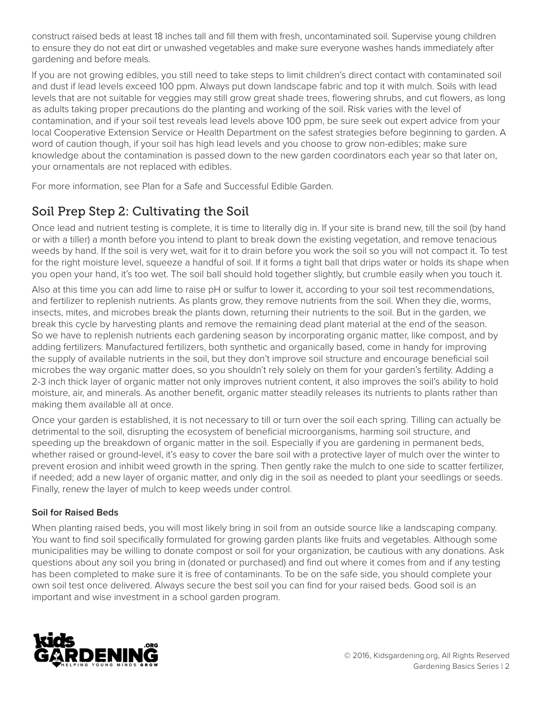construct raised beds at least 18 inches tall and fill them with fresh, uncontaminated soil. Supervise young children to ensure they do not eat dirt or unwashed vegetables and make sure everyone washes hands immediately after gardening and before meals.

If you are not growing edibles, you still need to take steps to limit children's direct contact with contaminated soil and dust if lead levels exceed 100 ppm. Always put down landscape fabric and top it with mulch. Soils with lead levels that are not suitable for veggies may still grow great shade trees, flowering shrubs, and cut flowers, as long as adults taking proper precautions do the planting and working of the soil. Risk varies with the level of contamination, and if your soil test reveals lead levels above 100 ppm, be sure seek out expert advice from your local Cooperative Extension Service or Health Department on the safest strategies before beginning to garden. A word of caution though, if your soil has high lead levels and you choose to grow non-edibles; make sure knowledge about the contamination is passed down to the new garden coordinators each year so that later on, your ornamentals are not replaced with edibles.

For more information, see Plan for a Safe and Successful Edible Garden.

## Soil Prep Step 2: Cultivating the Soil

Once lead and nutrient testing is complete, it is time to literally dig in. If your site is brand new, till the soil (by hand or with a tiller) a month before you intend to plant to break down the existing vegetation, and remove tenacious weeds by hand. If the soil is very wet, wait for it to drain before you work the soil so you will not compact it. To test for the right moisture level, squeeze a handful of soil. If it forms a tight ball that drips water or holds its shape when you open your hand, it's too wet. The soil ball should hold together slightly, but crumble easily when you touch it.

Also at this time you can add lime to raise pH or sulfur to lower it, according to your soil test recommendations, and fertilizer to replenish nutrients. As plants grow, they remove nutrients from the soil. When they die, worms, insects, mites, and microbes break the plants down, returning their nutrients to the soil. But in the garden, we break this cycle by harvesting plants and remove the remaining dead plant material at the end of the season. So we have to replenish nutrients each gardening season by incorporating organic matter, like compost, and by adding fertilizers. Manufactured fertilizers, both synthetic and organically based, come in handy for improving the supply of available nutrients in the soil, but they don't improve soil structure and encourage beneficial soil microbes the way organic matter does, so you shouldn't rely solely on them for your garden's fertility. Adding a 2-3 inch thick layer of organic matter not only improves nutrient content, it also improves the soil's ability to hold moisture, air, and minerals. As another benefit, organic matter steadily releases its nutrients to plants rather than making them available all at once.

Once your garden is established, it is not necessary to till or turn over the soil each spring. Tilling can actually be detrimental to the soil, disrupting the ecosystem of beneficial microorganisms, harming soil structure, and speeding up the breakdown of organic matter in the soil. Especially if you are gardening in permanent beds, whether raised or ground-level, it's easy to cover the bare soil with a protective layer of mulch over the winter to prevent erosion and inhibit weed growth in the spring. Then gently rake the mulch to one side to scatter fertilizer, if needed; add a new layer of organic matter, and only dig in the soil as needed to plant your seedlings or seeds. Finally, renew the layer of mulch to keep weeds under control.

#### **Soil for Raised Beds**

When planting raised beds, you will most likely bring in soil from an outside source like a landscaping company. You want to find soil specifically formulated for growing garden plants like fruits and vegetables. Although some municipalities may be willing to donate compost or soil for your organization, be cautious with any donations. Ask questions about any soil you bring in (donated or purchased) and find out where it comes from and if any testing has been completed to make sure it is free of contaminants. To be on the safe side, you should complete your own soil test once delivered. Always secure the best soil you can find for your raised beds. Good soil is an important and wise investment in a school garden program.